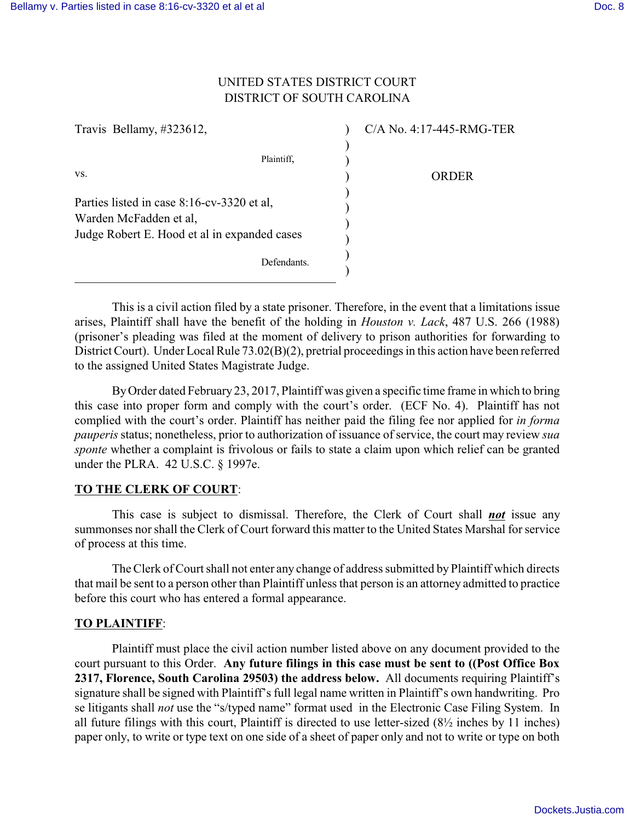## UNITED STATES DISTRICT COURT DISTRICT OF SOUTH CAROLINA

| Travis Bellamy, #323612,                                             | C/A No. 4:17-445-RMG-TER |
|----------------------------------------------------------------------|--------------------------|
|                                                                      |                          |
| Plaintiff,                                                           |                          |
| VS.                                                                  | ORDER                    |
| Parties listed in case 8:16-cv-3320 et al.<br>Warden McFadden et al, |                          |
| Judge Robert E. Hood et al in expanded cases                         |                          |
| Defendants.                                                          |                          |

This is a civil action filed by a state prisoner. Therefore, in the event that a limitations issue arises, Plaintiff shall have the benefit of the holding in *Houston v. Lack*, 487 U.S. 266 (1988) (prisoner's pleading was filed at the moment of delivery to prison authorities for forwarding to District Court). Under Local Rule 73.02(B)(2), pretrial proceedings in this action have been referred to the assigned United States Magistrate Judge.

By Order dated February 23, 2017, Plaintiff was given a specific time frame in which to bring this case into proper form and comply with the court's order. (ECF No. 4). Plaintiff has not complied with the court's order. Plaintiff has neither paid the filing fee nor applied for *in forma pauperis* status; nonetheless, prior to authorization of issuance of service, the court may review *sua sponte* whether a complaint is frivolous or fails to state a claim upon which relief can be granted under the PLRA. 42 U.S.C. § 1997e.

## **TO THE CLERK OF COURT**:

This case is subject to dismissal. Therefore, the Clerk of Court shall *not* issue any summonses nor shall the Clerk of Court forward this matter to the United States Marshal for service of process at this time.

The Clerk of Court shall not enter any change of address submitted by Plaintiff which directs that mail be sent to a person other than Plaintiff unless that person is an attorney admitted to practice before this court who has entered a formal appearance.

## **TO PLAINTIFF**:

Plaintiff must place the civil action number listed above on any document provided to the court pursuant to this Order. **Any future filings in this case must be sent to ((Post Office Box 2317, Florence, South Carolina 29503) the address below.** All documents requiring Plaintiff's signature shall be signed with Plaintiff's full legal name written in Plaintiff's own handwriting. Pro se litigants shall *not* use the "s/typed name" format used in the Electronic Case Filing System. In all future filings with this court, Plaintiff is directed to use letter-sized (8½ inches by 11 inches) paper only, to write or type text on one side of a sheet of paper only and not to write or type on both